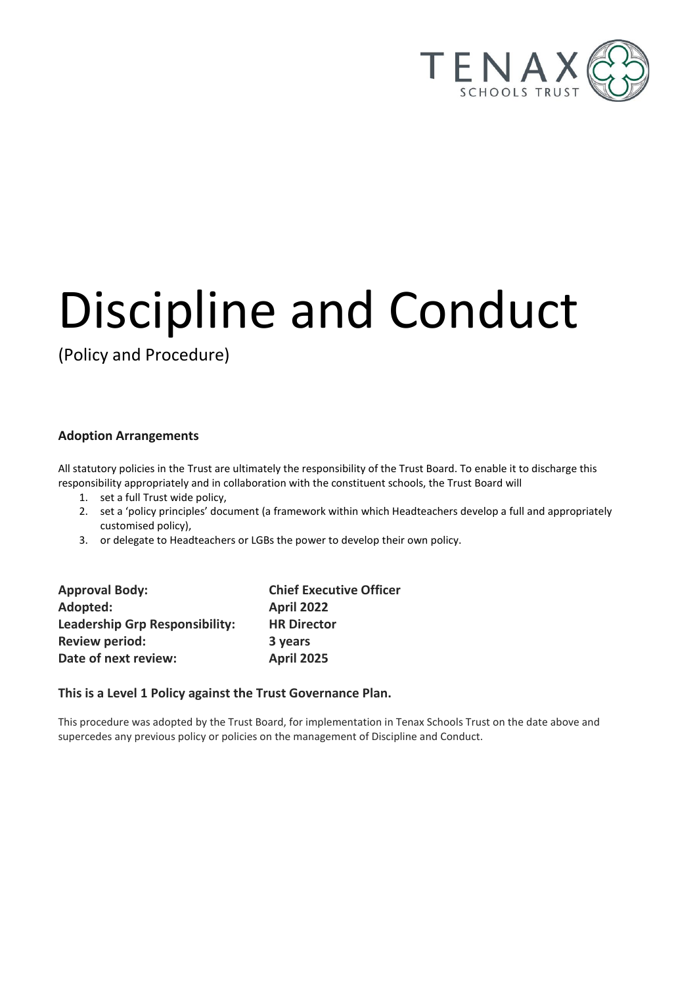

# Discipline and Conduct

(Policy and Procedure)

#### **Adoption Arrangements**

All statutory policies in the Trust are ultimately the responsibility of the Trust Board. To enable it to discharge this responsibility appropriately and in collaboration with the constituent schools, the Trust Board will

- 1. set a full Trust wide policy,
- 2. set a 'policy principles' document (a framework within which Headteachers develop a full and appropriately customised policy),
- 3. or delegate to Headteachers or LGBs the power to develop their own policy.

| <b>Approval Body:</b>                 | <b>Chief Executive Officer</b> |
|---------------------------------------|--------------------------------|
| Adopted:                              | <b>April 2022</b>              |
| <b>Leadership Grp Responsibility:</b> | <b>HR Director</b>             |
| <b>Review period:</b>                 | 3 years                        |
| Date of next review:                  | <b>April 2025</b>              |

#### **This is a Level 1 Policy against the Trust Governance Plan.**

This procedure was adopted by the Trust Board, for implementation in Tenax Schools Trust on the date above and supercedes any previous policy or policies on the management of Discipline and Conduct.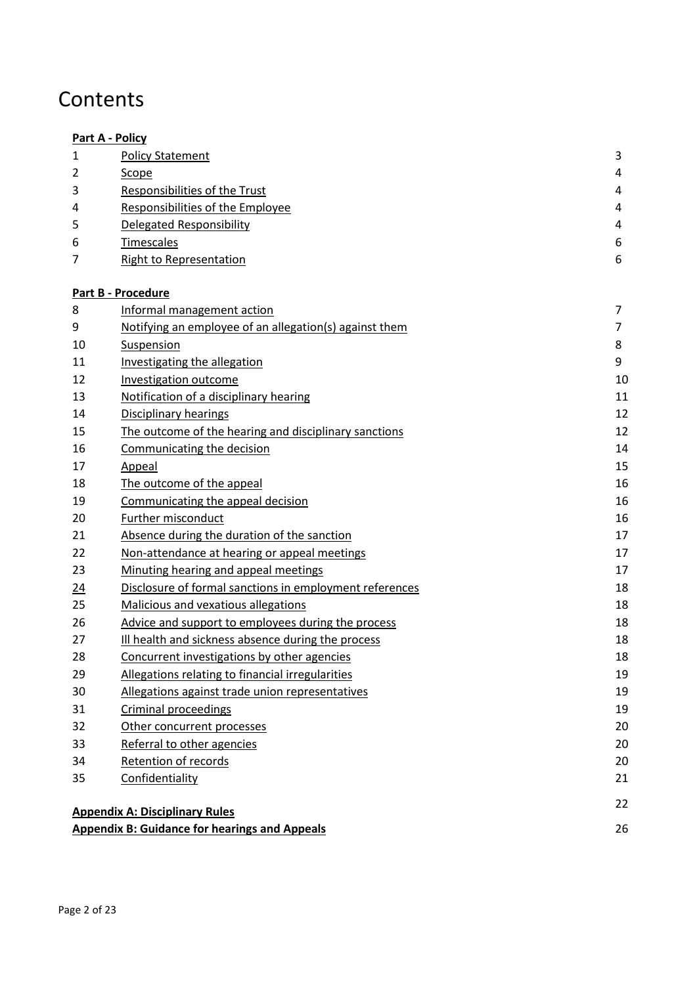# **Contents**

|    | <b>Part A - Policy</b>                                  |                |
|----|---------------------------------------------------------|----------------|
| 1  | <b>Policy Statement</b>                                 | 3              |
| 2  | Scope                                                   | 4              |
| 3  | Responsibilities of the Trust                           | 4              |
| 4  | Responsibilities of the Employee                        | 4              |
| 5  | <b>Delegated Responsibility</b>                         | 4              |
| 6  | <b>Timescales</b>                                       | 6              |
| 7  | <b>Right to Representation</b>                          | 6              |
|    | Part B - Procedure                                      |                |
| 8  | Informal management action                              | $\overline{7}$ |
| 9  | Notifying an employee of an allegation(s) against them  | $\overline{7}$ |
| 10 | Suspension                                              | 8              |
| 11 | <b>Investigating the allegation</b>                     | 9              |
| 12 | Investigation outcome                                   | 10             |
| 13 | Notification of a disciplinary hearing                  | 11             |
| 14 | <b>Disciplinary hearings</b>                            | 12             |
| 15 | The outcome of the hearing and disciplinary sanctions   | 12             |
| 16 | Communicating the decision                              | 14             |
| 17 | Appeal                                                  | 15             |
| 18 | The outcome of the appeal                               | 16             |
| 19 | Communicating the appeal decision                       | 16             |
| 20 | Further misconduct                                      | 16             |
| 21 | Absence during the duration of the sanction             | 17             |
| 22 | Non-attendance at hearing or appeal meetings            | 17             |
| 23 | Minuting hearing and appeal meetings                    | 17             |
| 24 | Disclosure of formal sanctions in employment references | 18             |
| 25 | Malicious and vexatious allegations                     | 18             |
| 26 | Advice and support to employees during the process      | 18             |
| 27 | Ill health and sickness absence during the process      | 18             |
| 28 | Concurrent investigations by other agencies             | 18             |
| 29 | Allegations relating to financial irregularities        | 19             |
| 30 | Allegations against trade union representatives         | 19             |
| 31 | Criminal proceedings                                    | 19             |
| 32 | Other concurrent processes                              | 20             |
| 33 | Referral to other agencies                              | 20             |
| 34 | Retention of records                                    | 20             |
| 35 | Confidentiality                                         | 21             |
|    | <b>Appendix A: Disciplinary Rules</b>                   | 22             |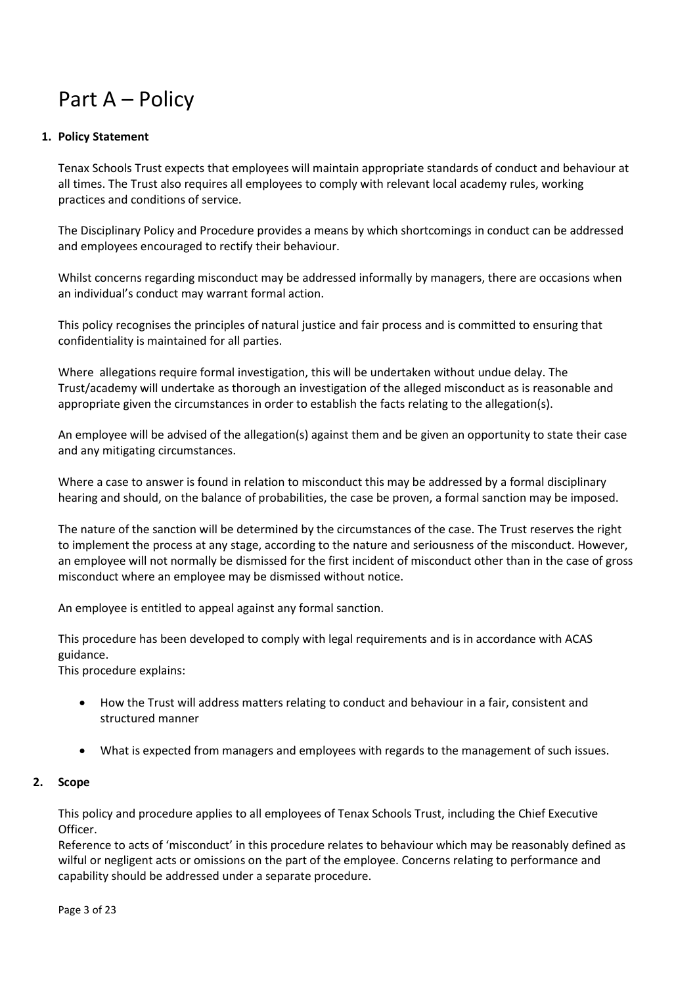# <span id="page-2-0"></span>Part A – Policy

#### <span id="page-2-1"></span>**1. Policy Statement**

Tenax Schools Trust expects that employees will maintain appropriate standards of conduct and behaviour at all times. The Trust also requires all employees to comply with relevant local academy rules, working practices and conditions of service.

The Disciplinary Policy and Procedure provides a means by which shortcomings in conduct can be addressed and employees encouraged to rectify their behaviour.

Whilst concerns regarding misconduct may be addressed informally by managers, there are occasions when an individual's conduct may warrant formal action.

This policy recognises the principles of natural justice and fair process and is committed to ensuring that confidentiality is maintained for all parties.

Where allegations require formal investigation, this will be undertaken without undue delay. The Trust/academy will undertake as thorough an investigation of the alleged misconduct as is reasonable and appropriate given the circumstances in order to establish the facts relating to the allegation(s).

An employee will be advised of the allegation(s) against them and be given an opportunity to state their case and any mitigating circumstances.

Where a case to answer is found in relation to misconduct this may be addressed by a formal disciplinary hearing and should, on the balance of probabilities, the case be proven, a formal sanction may be imposed.

The nature of the sanction will be determined by the circumstances of the case. The Trust reserves the right to implement the process at any stage, according to the nature and seriousness of the misconduct. However, an employee will not normally be dismissed for the first incident of misconduct other than in the case of gross misconduct where an employee may be dismissed without notice.

An employee is entitled to appeal against any formal sanction.

This procedure has been developed to comply with legal requirements and is in accordance with ACAS guidance.

This procedure explains:

- How the Trust will address matters relating to conduct and behaviour in a fair, consistent and structured manner
- What is expected from managers and employees with regards to the management of such issues.

#### <span id="page-2-2"></span>**2. Scope**

This policy and procedure applies to all employees of Tenax Schools Trust, including the Chief Executive Officer.

Reference to acts of 'misconduct' in this procedure relates to behaviour which may be reasonably defined as wilful or negligent acts or omissions on the part of the employee. Concerns relating to performance and capability should be addressed under a separate procedure.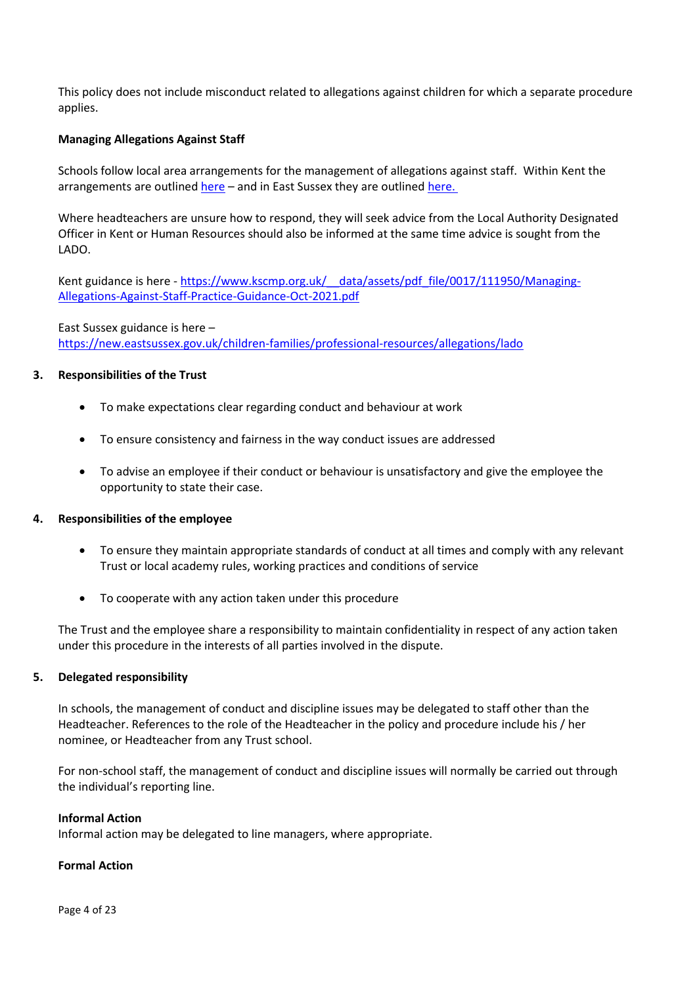This policy does not include misconduct related to allegations against children for which a separate procedure applies.

#### **Managing Allegations Against Staff**

Schools follow local area arrangements for the management of allegations against staff. Within Kent the arrangements are outline[d here](https://www.kscmp.org.uk/procedures/local-authority-designated-officer-lado) – and in East Sussex they are outline[d here.](https://new.eastsussex.gov.uk/children-families/professional-resources/allegations/lado) 

Where headteachers are unsure how to respond, they will seek advice from the Local Authority Designated Officer in Kent or Human Resources should also be informed at the same time advice is sought from the LADO.

Kent guidance is here - https://www.kscmp.org.uk/ data/assets/pdf file/0017/111950/Managing-[Allegations-Against-Staff-Practice-Guidance-Oct-2021.pdf](https://www.kscmp.org.uk/__data/assets/pdf_file/0017/111950/Managing-Allegations-Against-Staff-Practice-Guidance-Oct-2021.pdf)

East Sussex guidance is here – <https://new.eastsussex.gov.uk/children-families/professional-resources/allegations/lado>

#### <span id="page-3-0"></span>**3. Responsibilities of the Trust**

- To make expectations clear regarding conduct and behaviour at work
- To ensure consistency and fairness in the way conduct issues are addressed
- To advise an employee if their conduct or behaviour is unsatisfactory and give the employee the opportunity to state their case.

#### <span id="page-3-1"></span>**4. Responsibilities of the employee**

- To ensure they maintain appropriate standards of conduct at all times and comply with any relevant Trust or local academy rules, working practices and conditions of service
- To cooperate with any action taken under this procedure

The Trust and the employee share a responsibility to maintain confidentiality in respect of any action taken under this procedure in the interests of all parties involved in the dispute.

#### <span id="page-3-2"></span>**5. Delegated responsibility**

In schools, the management of conduct and discipline issues may be delegated to staff other than the Headteacher. References to the role of the Headteacher in the policy and procedure include his / her nominee, or Headteacher from any Trust school.

For non-school staff, the management of conduct and discipline issues will normally be carried out through the individual's reporting line.

#### **Informal Action**

Informal action may be delegated to line managers, where appropriate.

#### **Formal Action**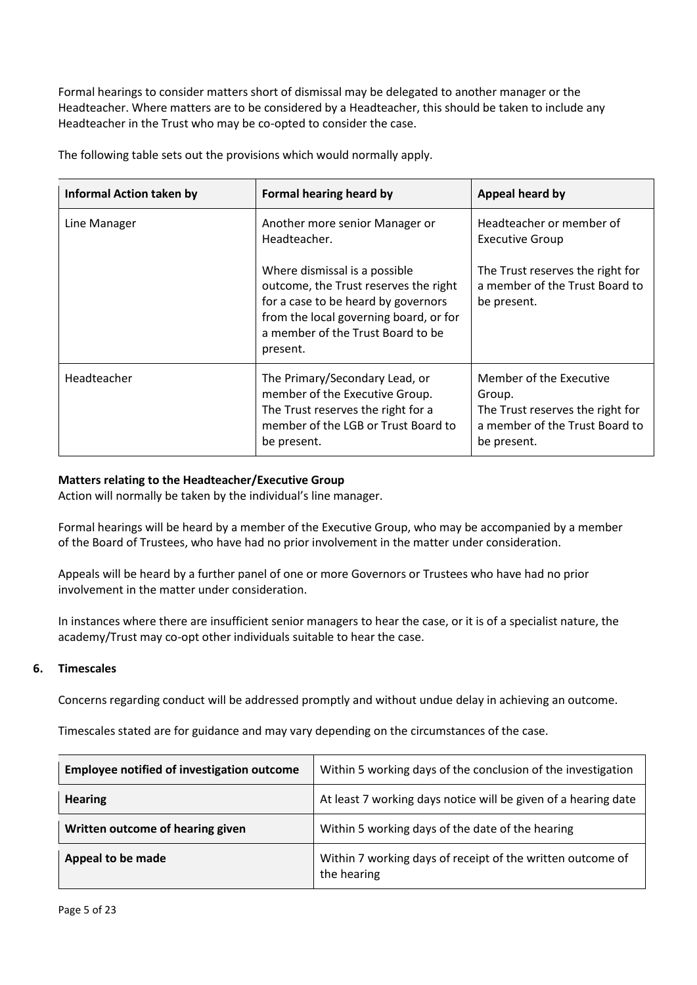Formal hearings to consider matters short of dismissal may be delegated to another manager or the Headteacher. Where matters are to be considered by a Headteacher, this should be taken to include any Headteacher in the Trust who may be co-opted to consider the case.

| <b>Informal Action taken by</b> | Formal hearing heard by                                                                                                                                                                                  | Appeal heard by                                                                                                        |
|---------------------------------|----------------------------------------------------------------------------------------------------------------------------------------------------------------------------------------------------------|------------------------------------------------------------------------------------------------------------------------|
| Line Manager                    | Another more senior Manager or<br>Headteacher.                                                                                                                                                           | Headteacher or member of<br><b>Executive Group</b>                                                                     |
|                                 | Where dismissal is a possible<br>outcome, the Trust reserves the right<br>for a case to be heard by governors<br>from the local governing board, or for<br>a member of the Trust Board to be<br>present. | The Trust reserves the right for<br>a member of the Trust Board to<br>be present.                                      |
| Headteacher                     | The Primary/Secondary Lead, or<br>member of the Executive Group.<br>The Trust reserves the right for a<br>member of the LGB or Trust Board to<br>be present.                                             | Member of the Executive<br>Group.<br>The Trust reserves the right for<br>a member of the Trust Board to<br>be present. |

The following table sets out the provisions which would normally apply.

#### **Matters relating to the Headteacher/Executive Group**

Action will normally be taken by the individual's line manager.

Formal hearings will be heard by a member of the Executive Group, who may be accompanied by a member of the Board of Trustees, who have had no prior involvement in the matter under consideration.

Appeals will be heard by a further panel of one or more Governors or Trustees who have had no prior involvement in the matter under consideration.

In instances where there are insufficient senior managers to hear the case, or it is of a specialist nature, the academy/Trust may co-opt other individuals suitable to hear the case.

#### <span id="page-4-0"></span>**6. Timescales**

Concerns regarding conduct will be addressed promptly and without undue delay in achieving an outcome.

Timescales stated are for guidance and may vary depending on the circumstances of the case.

| <b>Employee notified of investigation outcome</b> | Within 5 working days of the conclusion of the investigation              |
|---------------------------------------------------|---------------------------------------------------------------------------|
| <b>Hearing</b>                                    | At least 7 working days notice will be given of a hearing date            |
| Written outcome of hearing given                  | Within 5 working days of the date of the hearing                          |
| Appeal to be made                                 | Within 7 working days of receipt of the written outcome of<br>the hearing |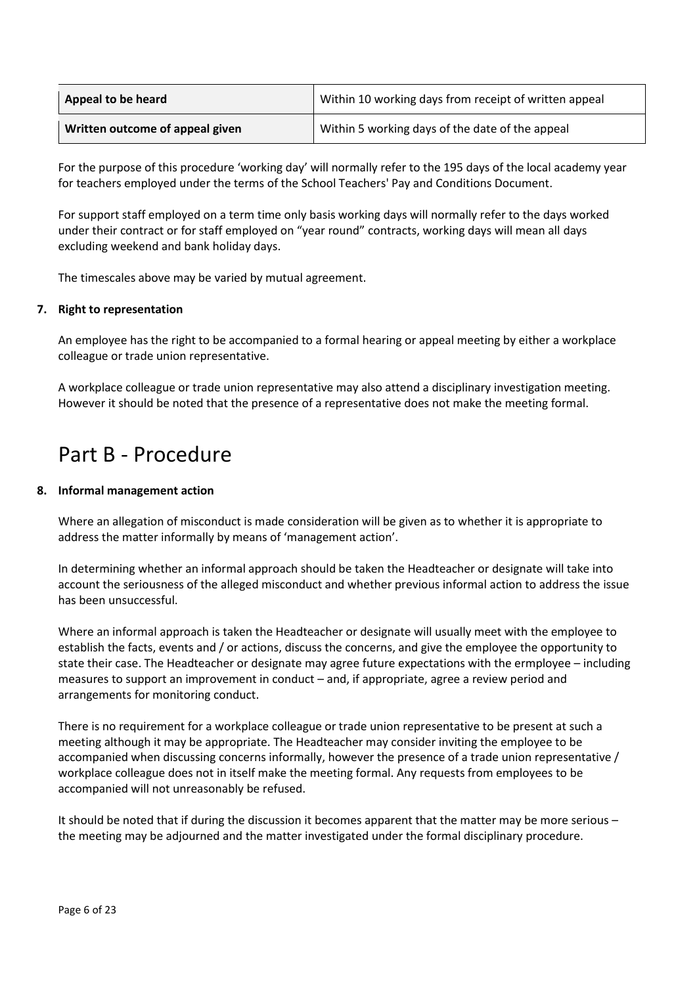| Appeal to be heard              | Within 10 working days from receipt of written appeal |
|---------------------------------|-------------------------------------------------------|
| Written outcome of appeal given | Within 5 working days of the date of the appeal       |

For the purpose of this procedure 'working day' will normally refer to the 195 days of the local academy year for teachers employed under the terms of the School Teachers' Pay and Conditions Document.

For support staff employed on a term time only basis working days will normally refer to the days worked under their contract or for staff employed on "year round" contracts, working days will mean all days excluding weekend and bank holiday days.

<span id="page-5-0"></span>The timescales above may be varied by mutual agreement.

#### **7. Right to representation**

An employee has the right to be accompanied to a formal hearing or appeal meeting by either a workplace colleague or trade union representative.

A workplace colleague or trade union representative may also attend a disciplinary investigation meeting. However it should be noted that the presence of a representative does not make the meeting formal.

### <span id="page-5-1"></span>Part B - Procedure

#### <span id="page-5-2"></span>**8. Informal management action**

Where an allegation of misconduct is made consideration will be given as to whether it is appropriate to address the matter informally by means of 'management action'.

In determining whether an informal approach should be taken the Headteacher or designate will take into account the seriousness of the alleged misconduct and whether previous informal action to address the issue has been unsuccessful.

Where an informal approach is taken the Headteacher or designate will usually meet with the employee to establish the facts, events and / or actions, discuss the concerns, and give the employee the opportunity to state their case. The Headteacher or designate may agree future expectations with the ermployee – including measures to support an improvement in conduct – and, if appropriate, agree a review period and arrangements for monitoring conduct.

There is no requirement for a workplace colleague or trade union representative to be present at such a meeting although it may be appropriate. The Headteacher may consider inviting the employee to be accompanied when discussing concerns informally, however the presence of a trade union representative / workplace colleague does not in itself make the meeting formal. Any requests from employees to be accompanied will not unreasonably be refused.

It should be noted that if during the discussion it becomes apparent that the matter may be more serious – the meeting may be adjourned and the matter investigated under the formal disciplinary procedure.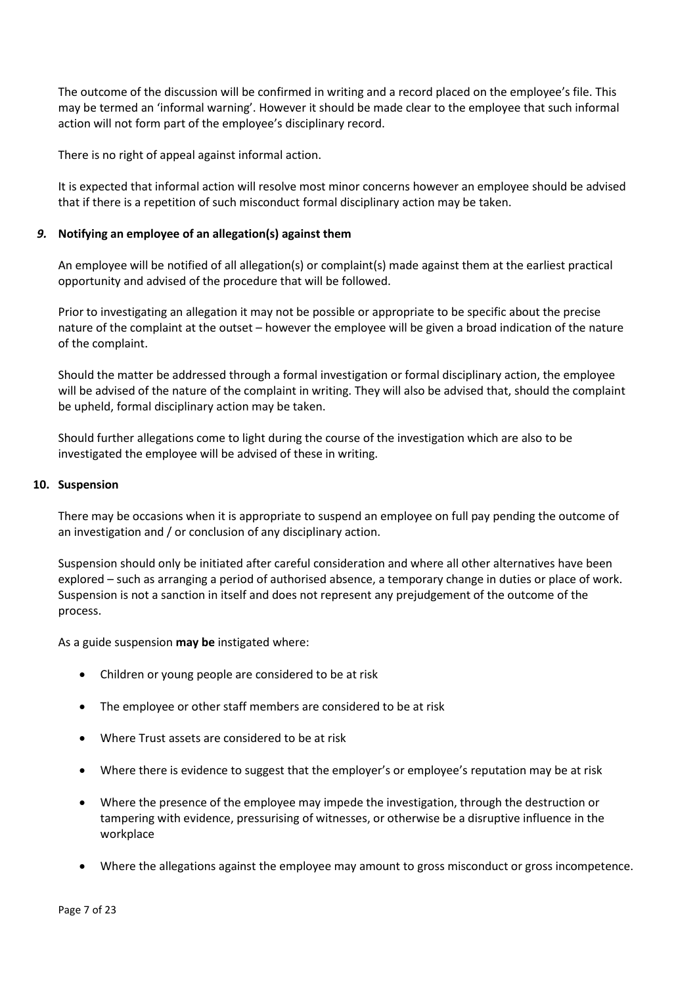The outcome of the discussion will be confirmed in writing and a record placed on the employee's file. This may be termed an 'informal warning'. However it should be made clear to the employee that such informal action will not form part of the employee's disciplinary record.

There is no right of appeal against informal action.

It is expected that informal action will resolve most minor concerns however an employee should be advised that if there is a repetition of such misconduct formal disciplinary action may be taken.

#### <span id="page-6-0"></span>*9.* **Notifying an employee of an allegation(s) against them**

An employee will be notified of all allegation(s) or complaint(s) made against them at the earliest practical opportunity and advised of the procedure that will be followed.

Prior to investigating an allegation it may not be possible or appropriate to be specific about the precise nature of the complaint at the outset – however the employee will be given a broad indication of the nature of the complaint.

Should the matter be addressed through a formal investigation or formal disciplinary action, the employee will be advised of the nature of the complaint in writing. They will also be advised that, should the complaint be upheld, formal disciplinary action may be taken.

Should further allegations come to light during the course of the investigation which are also to be investigated the employee will be advised of these in writing.

#### <span id="page-6-1"></span>**10. Suspension**

There may be occasions when it is appropriate to suspend an employee on full pay pending the outcome of an investigation and / or conclusion of any disciplinary action.

Suspension should only be initiated after careful consideration and where all other alternatives have been explored – such as arranging a period of authorised absence, a temporary change in duties or place of work. Suspension is not a sanction in itself and does not represent any prejudgement of the outcome of the process.

As a guide suspension **may be** instigated where:

- Children or young people are considered to be at risk
- The employee or other staff members are considered to be at risk
- Where Trust assets are considered to be at risk
- Where there is evidence to suggest that the employer's or employee's reputation may be at risk
- Where the presence of the employee may impede the investigation, through the destruction or tampering with evidence, pressurising of witnesses, or otherwise be a disruptive influence in the workplace
- Where the allegations against the employee may amount to gross misconduct or gross incompetence.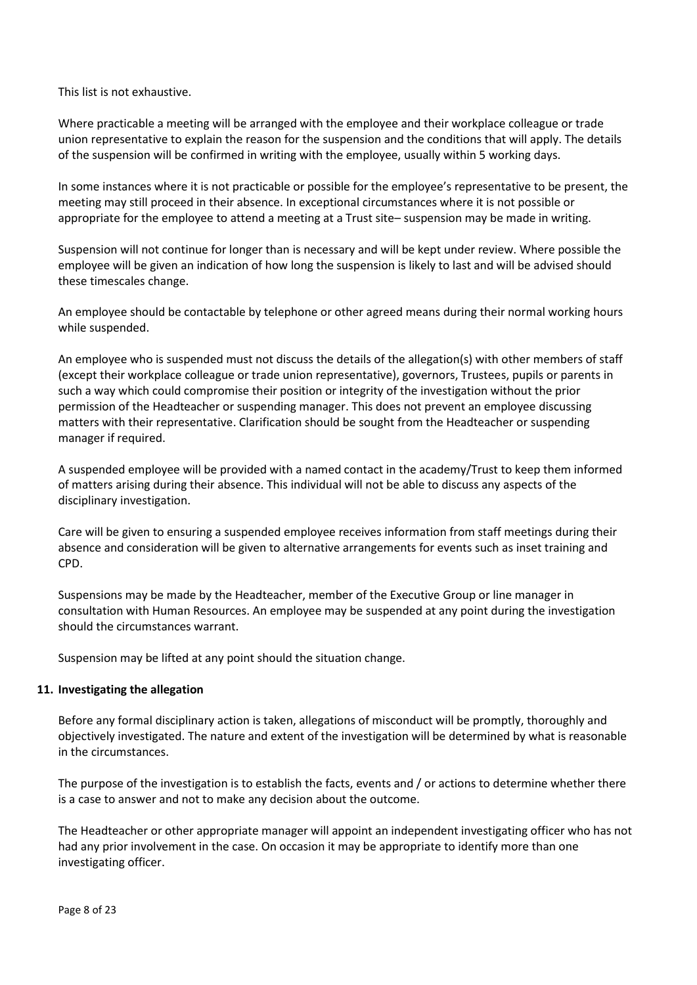This list is not exhaustive.

Where practicable a meeting will be arranged with the employee and their workplace colleague or trade union representative to explain the reason for the suspension and the conditions that will apply. The details of the suspension will be confirmed in writing with the employee, usually within 5 working days.

In some instances where it is not practicable or possible for the employee's representative to be present, the meeting may still proceed in their absence. In exceptional circumstances where it is not possible or appropriate for the employee to attend a meeting at a Trust site– suspension may be made in writing.

Suspension will not continue for longer than is necessary and will be kept under review. Where possible the employee will be given an indication of how long the suspension is likely to last and will be advised should these timescales change.

An employee should be contactable by telephone or other agreed means during their normal working hours while suspended.

An employee who is suspended must not discuss the details of the allegation(s) with other members of staff (except their workplace colleague or trade union representative), governors, Trustees, pupils or parents in such a way which could compromise their position or integrity of the investigation without the prior permission of the Headteacher or suspending manager. This does not prevent an employee discussing matters with their representative. Clarification should be sought from the Headteacher or suspending manager if required.

A suspended employee will be provided with a named contact in the academy/Trust to keep them informed of matters arising during their absence. This individual will not be able to discuss any aspects of the disciplinary investigation.

Care will be given to ensuring a suspended employee receives information from staff meetings during their absence and consideration will be given to alternative arrangements for events such as inset training and CPD.

Suspensions may be made by the Headteacher, member of the Executive Group or line manager in consultation with Human Resources. An employee may be suspended at any point during the investigation should the circumstances warrant.

Suspension may be lifted at any point should the situation change.

#### <span id="page-7-0"></span>**11. Investigating the allegation**

Before any formal disciplinary action is taken, allegations of misconduct will be promptly, thoroughly and objectively investigated. The nature and extent of the investigation will be determined by what is reasonable in the circumstances.

The purpose of the investigation is to establish the facts, events and / or actions to determine whether there is a case to answer and not to make any decision about the outcome.

The Headteacher or other appropriate manager will appoint an independent investigating officer who has not had any prior involvement in the case. On occasion it may be appropriate to identify more than one investigating officer.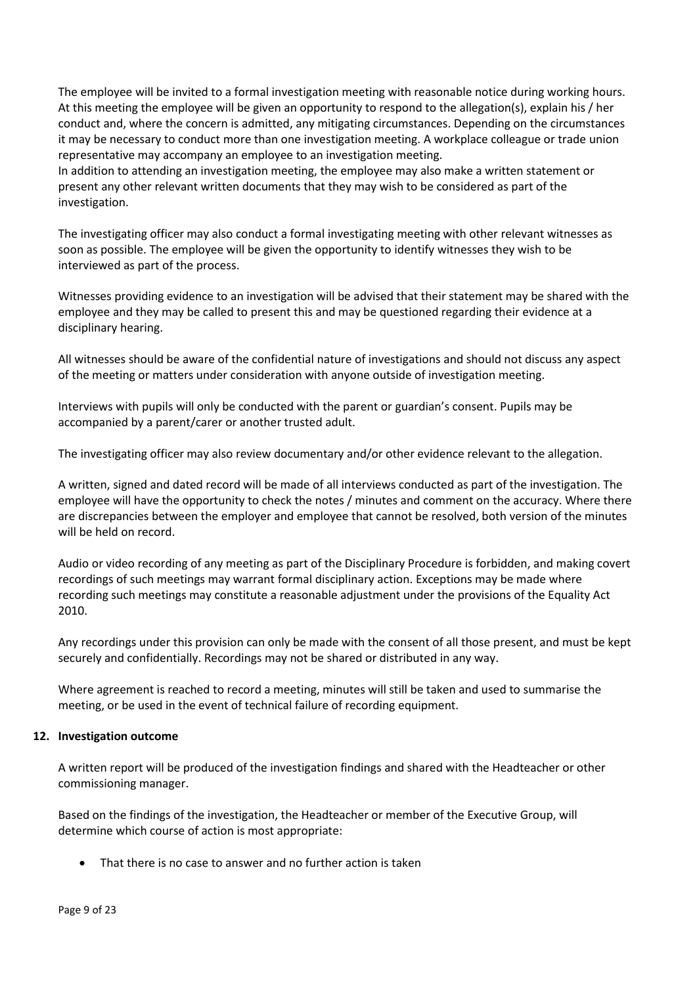The employee will be invited to a formal investigation meeting with reasonable notice during working hours. At this meeting the employee will be given an opportunity to respond to the allegation(s), explain his / her conduct and, where the concern is admitted, any mitigating circumstances. Depending on the circumstances it may be necessary to conduct more than one investigation meeting. A workplace colleague or trade union representative may accompany an employee to an investigation meeting.

In addition to attending an investigation meeting, the employee may also make a written statement or present any other relevant written documents that they may wish to be considered as part of the investigation.

The investigating officer may also conduct a formal investigating meeting with other relevant witnesses as soon as possible. The employee will be given the opportunity to identify witnesses they wish to be interviewed as part of the process.

Witnesses providing evidence to an investigation will be advised that their statement may be shared with the employee and they may be called to present this and may be questioned regarding their evidence at a disciplinary hearing.

All witnesses should be aware of the confidential nature of investigations and should not discuss any aspect of the meeting or matters under consideration with anyone outside of investigation meeting.

Interviews with pupils will only be conducted with the parent or guardian's consent. Pupils may be accompanied by a parent/carer or another trusted adult.

The investigating officer may also review documentary and/or other evidence relevant to the allegation.

A written, signed and dated record will be made of all interviews conducted as part of the investigation. The employee will have the opportunity to check the notes / minutes and comment on the accuracy. Where there are discrepancies between the employer and employee that cannot be resolved, both version of the minutes will be held on record.

Audio or video recording of any meeting as part of the Disciplinary Procedure is forbidden, and making covert recordings of such meetings may warrant formal disciplinary action. Exceptions may be made where recording such meetings may constitute a reasonable adjustment under the provisions of the Equality Act 2010.

Any recordings under this provision can only be made with the consent of all those present, and must be kept securely and confidentially. Recordings may not be shared or distributed in any way.

Where agreement is reached to record a meeting, minutes will still be taken and used to summarise the meeting, or be used in the event of technical failure of recording equipment.

#### <span id="page-8-0"></span>**12. Investigation outcome**

A written report will be produced of the investigation findings and shared with the Headteacher or other commissioning manager.

Based on the findings of the investigation, the Headteacher or member of the Executive Group, will determine which course of action is most appropriate:

That there is no case to answer and no further action is taken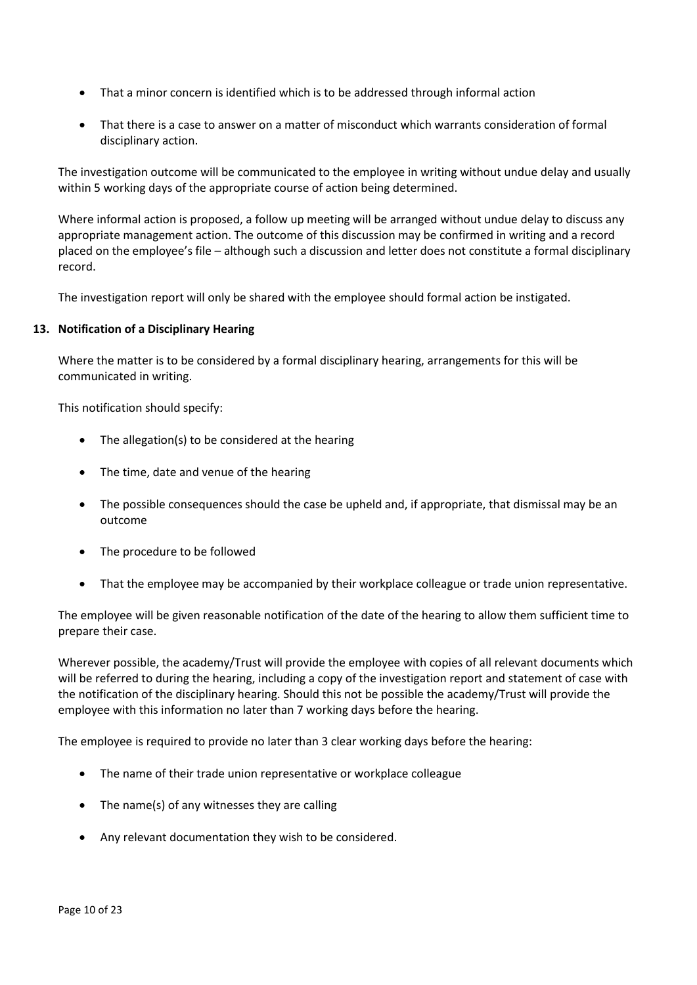- That a minor concern is identified which is to be addressed through informal action
- That there is a case to answer on a matter of misconduct which warrants consideration of formal disciplinary action.

The investigation outcome will be communicated to the employee in writing without undue delay and usually within 5 working days of the appropriate course of action being determined.

Where informal action is proposed, a follow up meeting will be arranged without undue delay to discuss any appropriate management action. The outcome of this discussion may be confirmed in writing and a record placed on the employee's file – although such a discussion and letter does not constitute a formal disciplinary record.

The investigation report will only be shared with the employee should formal action be instigated.

#### <span id="page-9-0"></span>**13. Notification of a Disciplinary Hearing**

Where the matter is to be considered by a formal disciplinary hearing, arrangements for this will be communicated in writing.

This notification should specify:

- The allegation(s) to be considered at the hearing
- The time, date and venue of the hearing
- The possible consequences should the case be upheld and, if appropriate, that dismissal may be an outcome
- The procedure to be followed
- That the employee may be accompanied by their workplace colleague or trade union representative.

The employee will be given reasonable notification of the date of the hearing to allow them sufficient time to prepare their case.

Wherever possible, the academy/Trust will provide the employee with copies of all relevant documents which will be referred to during the hearing, including a copy of the investigation report and statement of case with the notification of the disciplinary hearing. Should this not be possible the academy/Trust will provide the employee with this information no later than 7 working days before the hearing.

The employee is required to provide no later than 3 clear working days before the hearing:

- The name of their trade union representative or workplace colleague
- The name(s) of any witnesses they are calling
- Any relevant documentation they wish to be considered.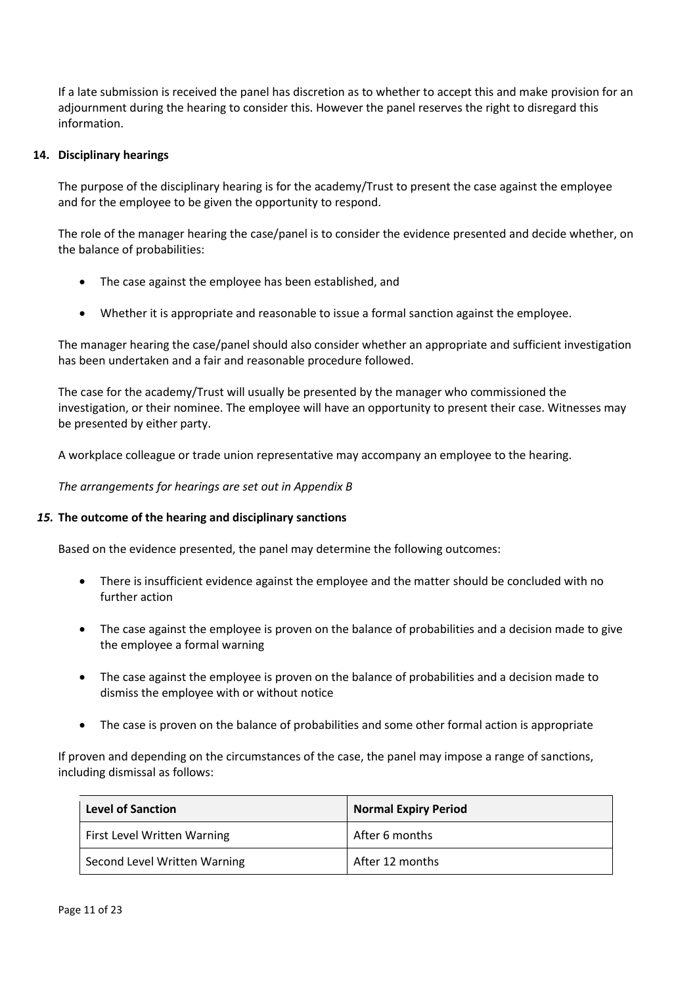If a late submission is received the panel has discretion as to whether to accept this and make provision for an adjournment during the hearing to consider this. However the panel reserves the right to disregard this information.

#### <span id="page-10-0"></span>**14. Disciplinary hearings**

The purpose of the disciplinary hearing is for the academy/Trust to present the case against the employee and for the employee to be given the opportunity to respond.

The role of the manager hearing the case/panel is to consider the evidence presented and decide whether, on the balance of probabilities:

- The case against the employee has been established, and
- Whether it is appropriate and reasonable to issue a formal sanction against the employee.

The manager hearing the case/panel should also consider whether an appropriate and sufficient investigation has been undertaken and a fair and reasonable procedure followed.

The case for the academy/Trust will usually be presented by the manager who commissioned the investigation, or their nominee. The employee will have an opportunity to present their case. Witnesses may be presented by either party.

A workplace colleague or trade union representative may accompany an employee to the hearing.

*The arrangements for hearings are set out in Appendix B*

#### <span id="page-10-1"></span>*15.* **The outcome of the hearing and disciplinary sanctions**

Based on the evidence presented, the panel may determine the following outcomes:

- There is insufficient evidence against the employee and the matter should be concluded with no further action
- The case against the employee is proven on the balance of probabilities and a decision made to give the employee a formal warning
- The case against the employee is proven on the balance of probabilities and a decision made to dismiss the employee with or without notice
- The case is proven on the balance of probabilities and some other formal action is appropriate

If proven and depending on the circumstances of the case, the panel may impose a range of sanctions, including dismissal as follows:

| <b>Level of Sanction</b>           | <b>Normal Expiry Period</b> |
|------------------------------------|-----------------------------|
| <b>First Level Written Warning</b> | After 6 months              |
| Second Level Written Warning       | After 12 months             |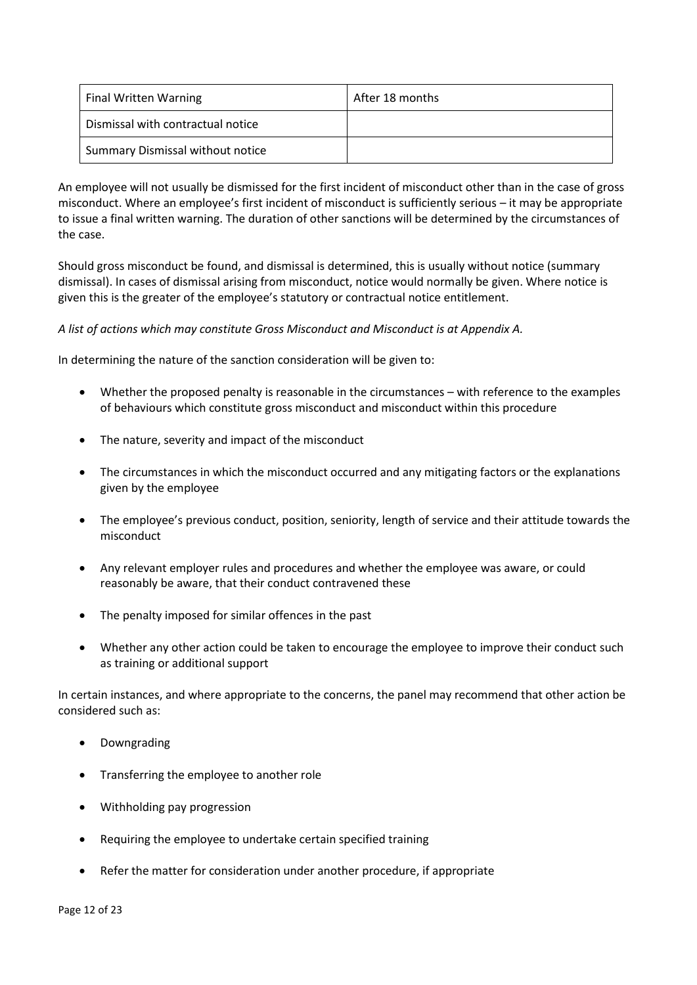| <b>Final Written Warning</b>      | After 18 months |
|-----------------------------------|-----------------|
| Dismissal with contractual notice |                 |
| Summary Dismissal without notice  |                 |

An employee will not usually be dismissed for the first incident of misconduct other than in the case of gross misconduct. Where an employee's first incident of misconduct is sufficiently serious – it may be appropriate to issue a final written warning. The duration of other sanctions will be determined by the circumstances of the case.

Should gross misconduct be found, and dismissal is determined, this is usually without notice (summary dismissal). In cases of dismissal arising from misconduct, notice would normally be given. Where notice is given this is the greater of the employee's statutory or contractual notice entitlement.

#### *A list of actions which may constitute Gross Misconduct and Misconduct is at Appendix A.*

In determining the nature of the sanction consideration will be given to:

- Whether the proposed penalty is reasonable in the circumstances with reference to the examples of behaviours which constitute gross misconduct and misconduct within this procedure
- The nature, severity and impact of the misconduct
- The circumstances in which the misconduct occurred and any mitigating factors or the explanations given by the employee
- The employee's previous conduct, position, seniority, length of service and their attitude towards the misconduct
- Any relevant employer rules and procedures and whether the employee was aware, or could reasonably be aware, that their conduct contravened these
- The penalty imposed for similar offences in the past
- Whether any other action could be taken to encourage the employee to improve their conduct such as training or additional support

In certain instances, and where appropriate to the concerns, the panel may recommend that other action be considered such as:

- Downgrading
- Transferring the employee to another role
- Withholding pay progression
- Requiring the employee to undertake certain specified training
- Refer the matter for consideration under another procedure, if appropriate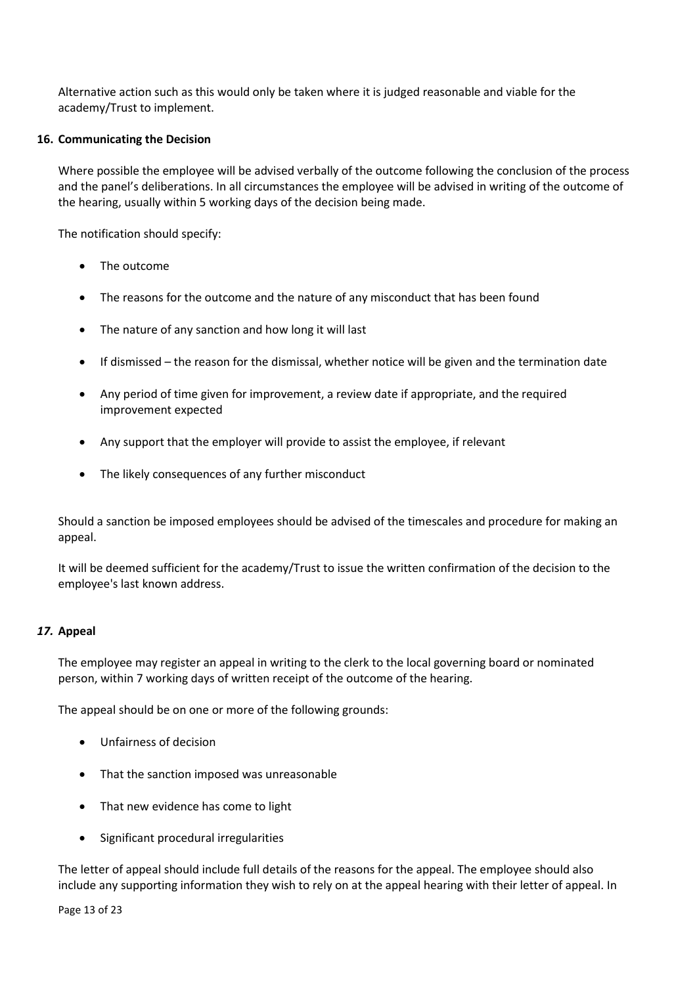Alternative action such as this would only be taken where it is judged reasonable and viable for the academy/Trust to implement.

#### <span id="page-12-0"></span>**16. Communicating the Decision**

Where possible the employee will be advised verbally of the outcome following the conclusion of the process and the panel's deliberations. In all circumstances the employee will be advised in writing of the outcome of the hearing, usually within 5 working days of the decision being made.

The notification should specify:

- The outcome
- The reasons for the outcome and the nature of any misconduct that has been found
- The nature of any sanction and how long it will last
- If dismissed the reason for the dismissal, whether notice will be given and the termination date
- Any period of time given for improvement, a review date if appropriate, and the required improvement expected
- Any support that the employer will provide to assist the employee, if relevant
- The likely consequences of any further misconduct

Should a sanction be imposed employees should be advised of the timescales and procedure for making an appeal.

It will be deemed sufficient for the academy/Trust to issue the written confirmation of the decision to the employee's last known address.

#### <span id="page-12-1"></span>*17.* **Appeal**

The employee may register an appeal in writing to the clerk to the local governing board or nominated person, within 7 working days of written receipt of the outcome of the hearing.

The appeal should be on one or more of the following grounds:

- Unfairness of decision
- That the sanction imposed was unreasonable
- That new evidence has come to light
- Significant procedural irregularities

The letter of appeal should include full details of the reasons for the appeal. The employee should also include any supporting information they wish to rely on at the appeal hearing with their letter of appeal. In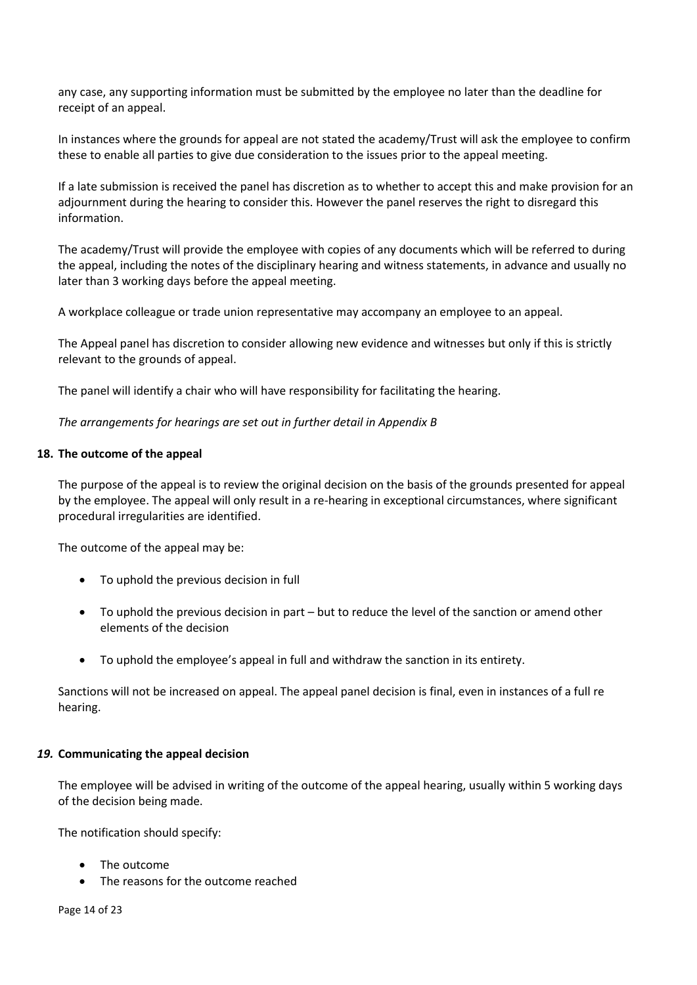any case, any supporting information must be submitted by the employee no later than the deadline for receipt of an appeal.

In instances where the grounds for appeal are not stated the academy/Trust will ask the employee to confirm these to enable all parties to give due consideration to the issues prior to the appeal meeting.

If a late submission is received the panel has discretion as to whether to accept this and make provision for an adjournment during the hearing to consider this. However the panel reserves the right to disregard this information.

The academy/Trust will provide the employee with copies of any documents which will be referred to during the appeal, including the notes of the disciplinary hearing and witness statements, in advance and usually no later than 3 working days before the appeal meeting.

A workplace colleague or trade union representative may accompany an employee to an appeal.

The Appeal panel has discretion to consider allowing new evidence and witnesses but only if this is strictly relevant to the grounds of appeal.

The panel will identify a chair who will have responsibility for facilitating the hearing.

*The arrangements for hearings are set out in further detail in Appendix B*

#### <span id="page-13-0"></span>**18. The outcome of the appeal**

The purpose of the appeal is to review the original decision on the basis of the grounds presented for appeal by the employee. The appeal will only result in a re-hearing in exceptional circumstances, where significant procedural irregularities are identified.

The outcome of the appeal may be:

- To uphold the previous decision in full
- To uphold the previous decision in part but to reduce the level of the sanction or amend other elements of the decision
- To uphold the employee's appeal in full and withdraw the sanction in its entirety.

Sanctions will not be increased on appeal. The appeal panel decision is final, even in instances of a full re hearing.

#### <span id="page-13-1"></span>*19.* **Communicating the appeal decision**

The employee will be advised in writing of the outcome of the appeal hearing, usually within 5 working days of the decision being made.

The notification should specify:

- The outcome
- The reasons for the outcome reached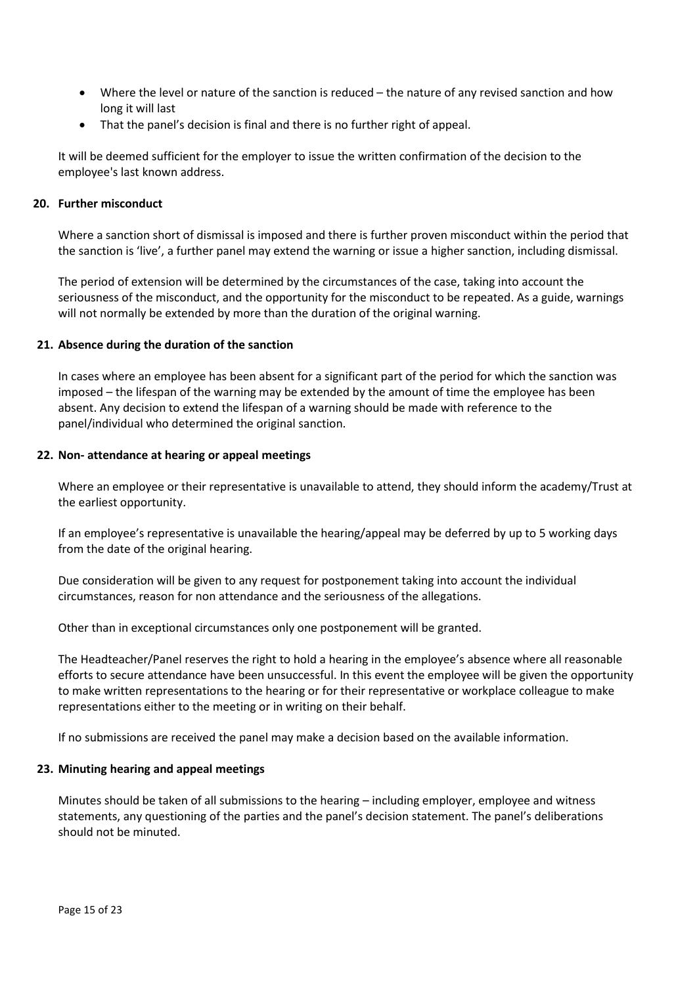- Where the level or nature of the sanction is reduced the nature of any revised sanction and how long it will last
- That the panel's decision is final and there is no further right of appeal.

It will be deemed sufficient for the employer to issue the written confirmation of the decision to the employee's last known address.

#### <span id="page-14-0"></span>**20. Further misconduct**

Where a sanction short of dismissal is imposed and there is further proven misconduct within the period that the sanction is 'live', a further panel may extend the warning or issue a higher sanction, including dismissal.

The period of extension will be determined by the circumstances of the case, taking into account the seriousness of the misconduct, and the opportunity for the misconduct to be repeated. As a guide, warnings will not normally be extended by more than the duration of the original warning.

#### <span id="page-14-1"></span>**21. Absence during the duration of the sanction**

In cases where an employee has been absent for a significant part of the period for which the sanction was imposed – the lifespan of the warning may be extended by the amount of time the employee has been absent. Any decision to extend the lifespan of a warning should be made with reference to the panel/individual who determined the original sanction.

#### <span id="page-14-2"></span>**22. Non- attendance at hearing or appeal meetings**

Where an employee or their representative is unavailable to attend, they should inform the academy/Trust at the earliest opportunity.

If an employee's representative is unavailable the hearing/appeal may be deferred by up to 5 working days from the date of the original hearing.

Due consideration will be given to any request for postponement taking into account the individual circumstances, reason for non attendance and the seriousness of the allegations.

Other than in exceptional circumstances only one postponement will be granted.

The Headteacher/Panel reserves the right to hold a hearing in the employee's absence where all reasonable efforts to secure attendance have been unsuccessful. In this event the employee will be given the opportunity to make written representations to the hearing or for their representative or workplace colleague to make representations either to the meeting or in writing on their behalf.

If no submissions are received the panel may make a decision based on the available information.

#### <span id="page-14-3"></span>**23. Minuting hearing and appeal meetings**

Minutes should be taken of all submissions to the hearing – including employer, employee and witness statements, any questioning of the parties and the panel's decision statement. The panel's deliberations should not be minuted.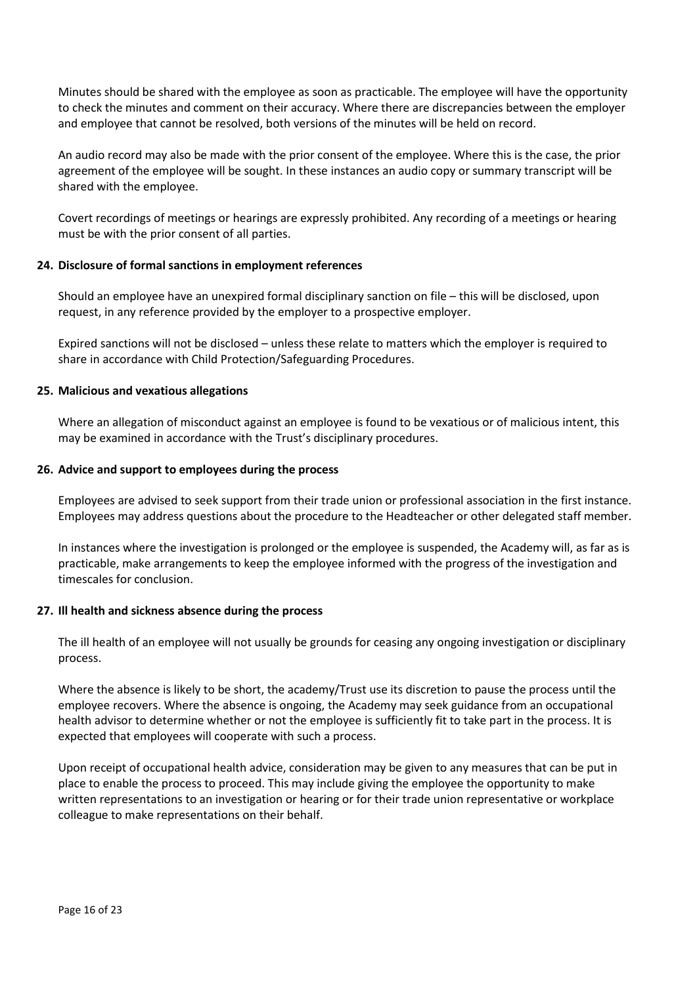Minutes should be shared with the employee as soon as practicable. The employee will have the opportunity to check the minutes and comment on their accuracy. Where there are discrepancies between the employer and employee that cannot be resolved, both versions of the minutes will be held on record.

An audio record may also be made with the prior consent of the employee. Where this is the case, the prior agreement of the employee will be sought. In these instances an audio copy or summary transcript will be shared with the employee.

Covert recordings of meetings or hearings are expressly prohibited. Any recording of a meetings or hearing must be with the prior consent of all parties.

#### <span id="page-15-0"></span>**24. Disclosure of formal sanctions in employment references**

Should an employee have an unexpired formal disciplinary sanction on file – this will be disclosed, upon request, in any reference provided by the employer to a prospective employer.

Expired sanctions will not be disclosed – unless these relate to matters which the employer is required to share in accordance with Child Protection/Safeguarding Procedures.

#### <span id="page-15-1"></span>**25. Malicious and vexatious allegations**

Where an allegation of misconduct against an employee is found to be vexatious or of malicious intent, this may be examined in accordance with the Trust's disciplinary procedures.

#### <span id="page-15-2"></span>**26. Advice and support to employees during the process**

Employees are advised to seek support from their trade union or professional association in the first instance. Employees may address questions about the procedure to the Headteacher or other delegated staff member.

In instances where the investigation is prolonged or the employee is suspended, the Academy will, as far as is practicable, make arrangements to keep the employee informed with the progress of the investigation and timescales for conclusion.

#### <span id="page-15-3"></span>**27. Ill health and sickness absence during the process**

The ill health of an employee will not usually be grounds for ceasing any ongoing investigation or disciplinary process.

Where the absence is likely to be short, the academy/Trust use its discretion to pause the process until the employee recovers. Where the absence is ongoing, the Academy may seek guidance from an occupational health advisor to determine whether or not the employee is sufficiently fit to take part in the process. It is expected that employees will cooperate with such a process.

Upon receipt of occupational health advice, consideration may be given to any measures that can be put in place to enable the process to proceed. This may include giving the employee the opportunity to make written representations to an investigation or hearing or for their trade union representative or workplace colleague to make representations on their behalf.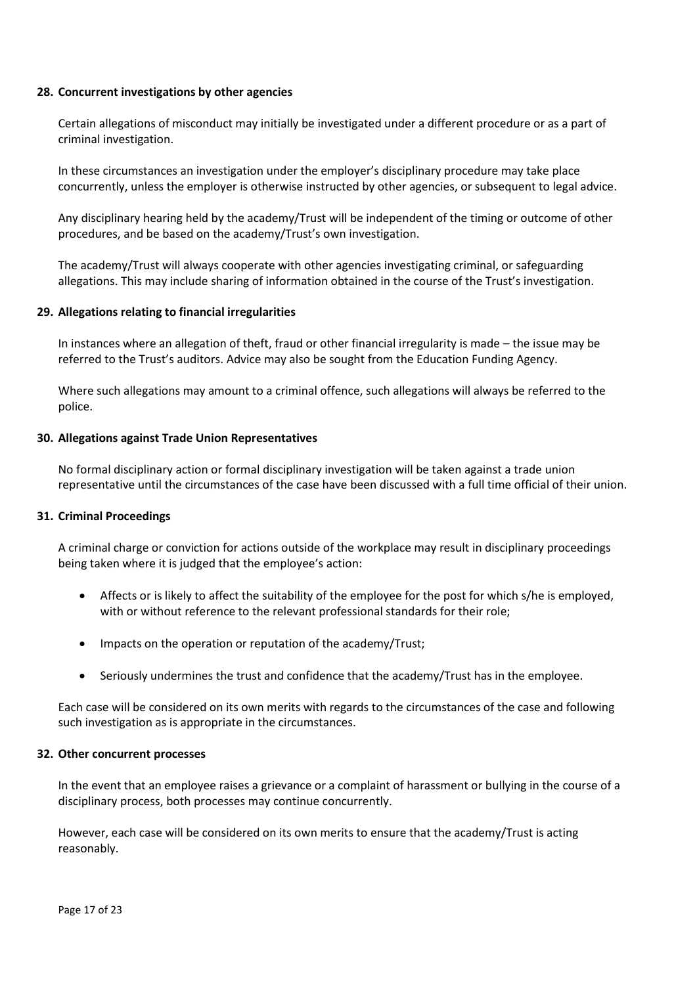#### <span id="page-16-0"></span>**28. Concurrent investigations by other agencies**

Certain allegations of misconduct may initially be investigated under a different procedure or as a part of criminal investigation.

In these circumstances an investigation under the employer's disciplinary procedure may take place concurrently, unless the employer is otherwise instructed by other agencies, or subsequent to legal advice.

Any disciplinary hearing held by the academy/Trust will be independent of the timing or outcome of other procedures, and be based on the academy/Trust's own investigation.

The academy/Trust will always cooperate with other agencies investigating criminal, or safeguarding allegations. This may include sharing of information obtained in the course of the Trust's investigation.

#### <span id="page-16-1"></span>**29. Allegations relating to financial irregularities**

In instances where an allegation of theft, fraud or other financial irregularity is made – the issue may be referred to the Trust's auditors. Advice may also be sought from the Education Funding Agency.

Where such allegations may amount to a criminal offence, such allegations will always be referred to the police.

#### <span id="page-16-2"></span>**30. Allegations against Trade Union Representatives**

No formal disciplinary action or formal disciplinary investigation will be taken against a trade union representative until the circumstances of the case have been discussed with a full time official of their union.

#### <span id="page-16-3"></span>**31. Criminal Proceedings**

A criminal charge or conviction for actions outside of the workplace may result in disciplinary proceedings being taken where it is judged that the employee's action:

- Affects or is likely to affect the suitability of the employee for the post for which s/he is employed, with or without reference to the relevant professional standards for their role;
- Impacts on the operation or reputation of the academy/Trust;
- Seriously undermines the trust and confidence that the academy/Trust has in the employee.

Each case will be considered on its own merits with regards to the circumstances of the case and following such investigation as is appropriate in the circumstances.

#### <span id="page-16-4"></span>**32. Other concurrent processes**

In the event that an employee raises a grievance or a complaint of harassment or bullying in the course of a disciplinary process, both processes may continue concurrently.

However, each case will be considered on its own merits to ensure that the academy/Trust is acting reasonably.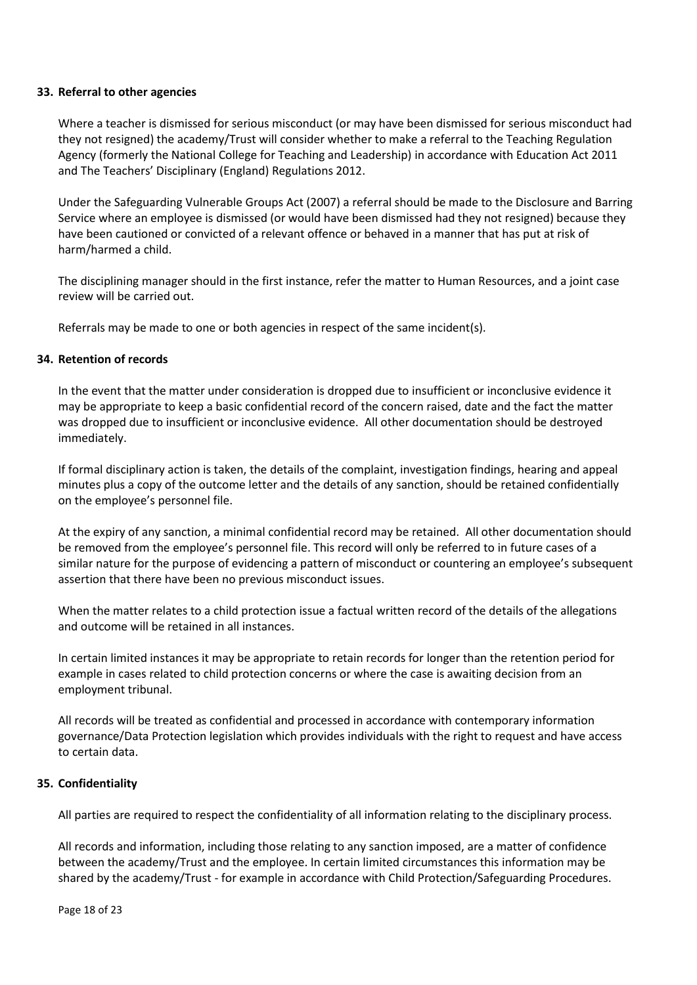#### <span id="page-17-0"></span>**33. Referral to other agencies**

Where a teacher is dismissed for serious misconduct (or may have been dismissed for serious misconduct had they not resigned) the academy/Trust will consider whether to make a referral to the Teaching Regulation Agency (formerly the National College for Teaching and Leadership) in accordance with Education Act 2011 and The Teachers' Disciplinary (England) Regulations 2012.

Under the Safeguarding Vulnerable Groups Act (2007) a referral should be made to the Disclosure and Barring Service where an employee is dismissed (or would have been dismissed had they not resigned) because they have been cautioned or convicted of a relevant offence or behaved in a manner that has put at risk of harm/harmed a child.

The disciplining manager should in the first instance, refer the matter to Human Resources, and a joint case review will be carried out.

Referrals may be made to one or both agencies in respect of the same incident(s).

#### <span id="page-17-1"></span>**34. Retention of records**

In the event that the matter under consideration is dropped due to insufficient or inconclusive evidence it may be appropriate to keep a basic confidential record of the concern raised, date and the fact the matter was dropped due to insufficient or inconclusive evidence. All other documentation should be destroyed immediately.

If formal disciplinary action is taken, the details of the complaint, investigation findings, hearing and appeal minutes plus a copy of the outcome letter and the details of any sanction, should be retained confidentially on the employee's personnel file.

At the expiry of any sanction, a minimal confidential record may be retained. All other documentation should be removed from the employee's personnel file. This record will only be referred to in future cases of a similar nature for the purpose of evidencing a pattern of misconduct or countering an employee's subsequent assertion that there have been no previous misconduct issues.

When the matter relates to a child protection issue a factual written record of the details of the allegations and outcome will be retained in all instances.

In certain limited instances it may be appropriate to retain records for longer than the retention period for example in cases related to child protection concerns or where the case is awaiting decision from an employment tribunal.

All records will be treated as confidential and processed in accordance with contemporary information governance/Data Protection legislation which provides individuals with the right to request and have access to certain data.

#### <span id="page-17-2"></span>**35. Confidentiality**

All parties are required to respect the confidentiality of all information relating to the disciplinary process.

All records and information, including those relating to any sanction imposed, are a matter of confidence between the academy/Trust and the employee. In certain limited circumstances this information may be shared by the academy/Trust - for example in accordance with Child Protection/Safeguarding Procedures.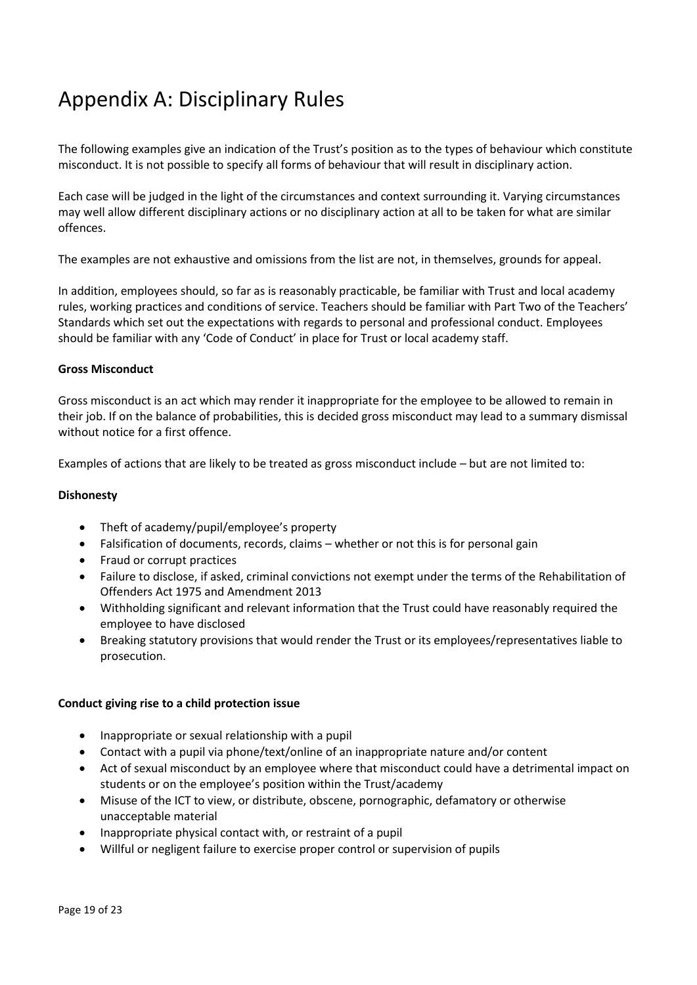# <span id="page-18-0"></span>Appendix A: Disciplinary Rules

The following examples give an indication of the Trust's position as to the types of behaviour which constitute misconduct. It is not possible to specify all forms of behaviour that will result in disciplinary action.

Each case will be judged in the light of the circumstances and context surrounding it. Varying circumstances may well allow different disciplinary actions or no disciplinary action at all to be taken for what are similar offences.

The examples are not exhaustive and omissions from the list are not, in themselves, grounds for appeal.

In addition, employees should, so far as is reasonably practicable, be familiar with Trust and local academy rules, working practices and conditions of service. Teachers should be familiar with Part Two of the Teachers' Standards which set out the expectations with regards to personal and professional conduct. Employees should be familiar with any 'Code of Conduct' in place for Trust or local academy staff.

#### **Gross Misconduct**

Gross misconduct is an act which may render it inappropriate for the employee to be allowed to remain in their job. If on the balance of probabilities, this is decided gross misconduct may lead to a summary dismissal without notice for a first offence.

Examples of actions that are likely to be treated as gross misconduct include – but are not limited to:

#### **Dishonesty**

- Theft of academy/pupil/employee's property
- Falsification of documents, records, claims whether or not this is for personal gain
- Fraud or corrupt practices
- Failure to disclose, if asked, criminal convictions not exempt under the terms of the Rehabilitation of Offenders Act 1975 and Amendment 2013
- Withholding significant and relevant information that the Trust could have reasonably required the employee to have disclosed
- Breaking statutory provisions that would render the Trust or its employees/representatives liable to prosecution.

#### **Conduct giving rise to a child protection issue**

- Inappropriate or sexual relationship with a pupil
- Contact with a pupil via phone/text/online of an inappropriate nature and/or content
- Act of sexual misconduct by an employee where that misconduct could have a detrimental impact on students or on the employee's position within the Trust/academy
- Misuse of the ICT to view, or distribute, obscene, pornographic, defamatory or otherwise unacceptable material
- Inappropriate physical contact with, or restraint of a pupil
- Willful or negligent failure to exercise proper control or supervision of pupils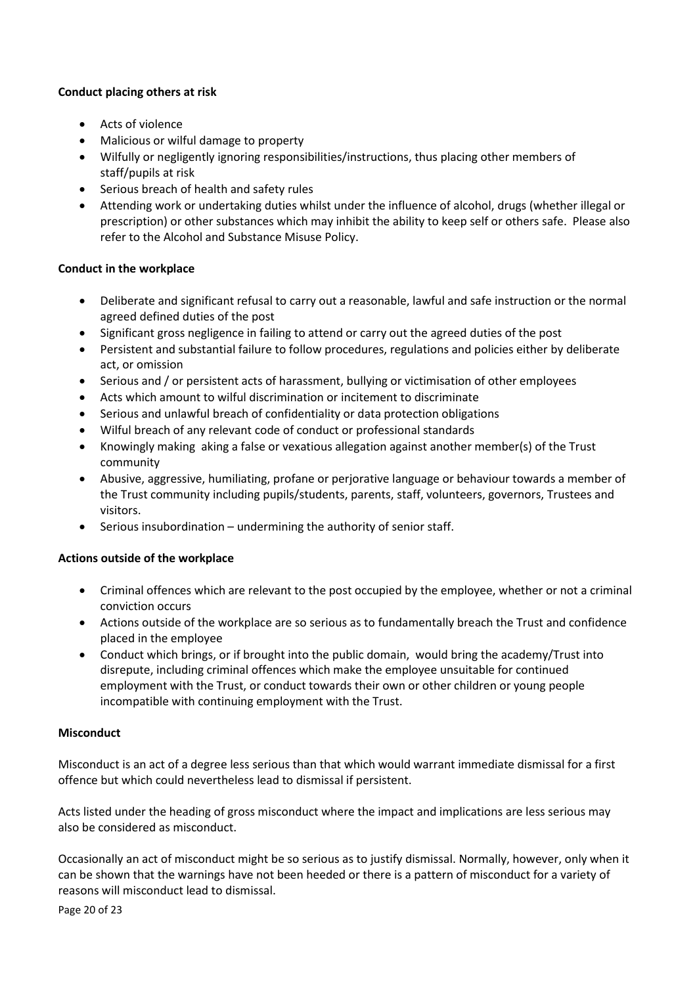#### **Conduct placing others at risk**

- Acts of violence
- Malicious or wilful damage to property
- Wilfully or negligently ignoring responsibilities/instructions, thus placing other members of staff/pupils at risk
- Serious breach of health and safety rules
- Attending work or undertaking duties whilst under the influence of alcohol, drugs (whether illegal or prescription) or other substances which may inhibit the ability to keep self or others safe. Please also refer to the Alcohol and Substance Misuse Policy.

#### **Conduct in the workplace**

- Deliberate and significant refusal to carry out a reasonable, lawful and safe instruction or the normal agreed defined duties of the post
- Significant gross negligence in failing to attend or carry out the agreed duties of the post
- Persistent and substantial failure to follow procedures, regulations and policies either by deliberate act, or omission
- Serious and / or persistent acts of harassment, bullying or victimisation of other employees
- Acts which amount to wilful discrimination or incitement to discriminate
- Serious and unlawful breach of confidentiality or data protection obligations
- Wilful breach of any relevant code of conduct or professional standards
- Knowingly making aking a false or vexatious allegation against another member(s) of the Trust community
- Abusive, aggressive, humiliating, profane or perjorative language or behaviour towards a member of the Trust community including pupils/students, parents, staff, volunteers, governors, Trustees and visitors.
- Serious insubordination undermining the authority of senior staff.

#### **Actions outside of the workplace**

- Criminal offences which are relevant to the post occupied by the employee, whether or not a criminal conviction occurs
- Actions outside of the workplace are so serious as to fundamentally breach the Trust and confidence placed in the employee
- Conduct which brings, or if brought into the public domain, would bring the academy/Trust into disrepute, including criminal offences which make the employee unsuitable for continued employment with the Trust, or conduct towards their own or other children or young people incompatible with continuing employment with the Trust.

#### **Misconduct**

Misconduct is an act of a degree less serious than that which would warrant immediate dismissal for a first offence but which could nevertheless lead to dismissal if persistent.

Acts listed under the heading of gross misconduct where the impact and implications are less serious may also be considered as misconduct.

Occasionally an act of misconduct might be so serious as to justify dismissal. Normally, however, only when it can be shown that the warnings have not been heeded or there is a pattern of misconduct for a variety of reasons will misconduct lead to dismissal.

Page 20 of 23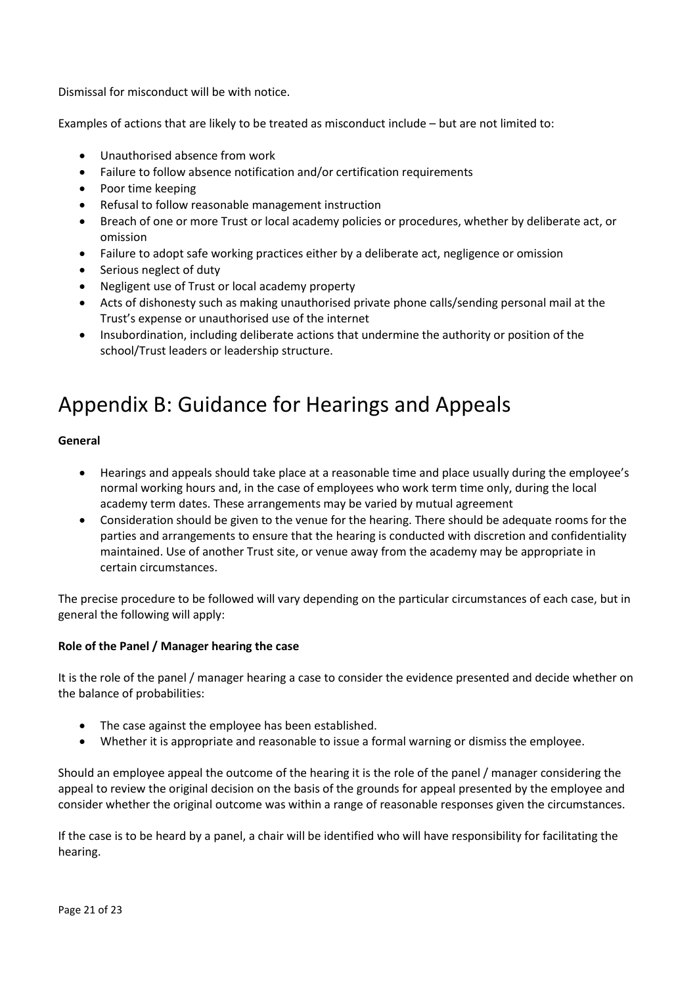Dismissal for misconduct will be with notice.

Examples of actions that are likely to be treated as misconduct include – but are not limited to:

- Unauthorised absence from work
- Failure to follow absence notification and/or certification requirements
- Poor time keeping
- Refusal to follow reasonable management instruction
- Breach of one or more Trust or local academy policies or procedures, whether by deliberate act, or omission
- Failure to adopt safe working practices either by a deliberate act, negligence or omission
- Serious neglect of duty
- Negligent use of Trust or local academy property
- Acts of dishonesty such as making unauthorised private phone calls/sending personal mail at the Trust's expense or unauthorised use of the internet
- Insubordination, including deliberate actions that undermine the authority or position of the school/Trust leaders or leadership structure.

## <span id="page-20-0"></span>Appendix B: Guidance for Hearings and Appeals

#### **General**

- Hearings and appeals should take place at a reasonable time and place usually during the employee's normal working hours and, in the case of employees who work term time only, during the local academy term dates. These arrangements may be varied by mutual agreement
- Consideration should be given to the venue for the hearing. There should be adequate rooms for the parties and arrangements to ensure that the hearing is conducted with discretion and confidentiality maintained. Use of another Trust site, or venue away from the academy may be appropriate in certain circumstances.

The precise procedure to be followed will vary depending on the particular circumstances of each case, but in general the following will apply:

#### **Role of the Panel / Manager hearing the case**

It is the role of the panel / manager hearing a case to consider the evidence presented and decide whether on the balance of probabilities:

- The case against the employee has been established.
- Whether it is appropriate and reasonable to issue a formal warning or dismiss the employee.

Should an employee appeal the outcome of the hearing it is the role of the panel / manager considering the appeal to review the original decision on the basis of the grounds for appeal presented by the employee and consider whether the original outcome was within a range of reasonable responses given the circumstances.

If the case is to be heard by a panel, a chair will be identified who will have responsibility for facilitating the hearing.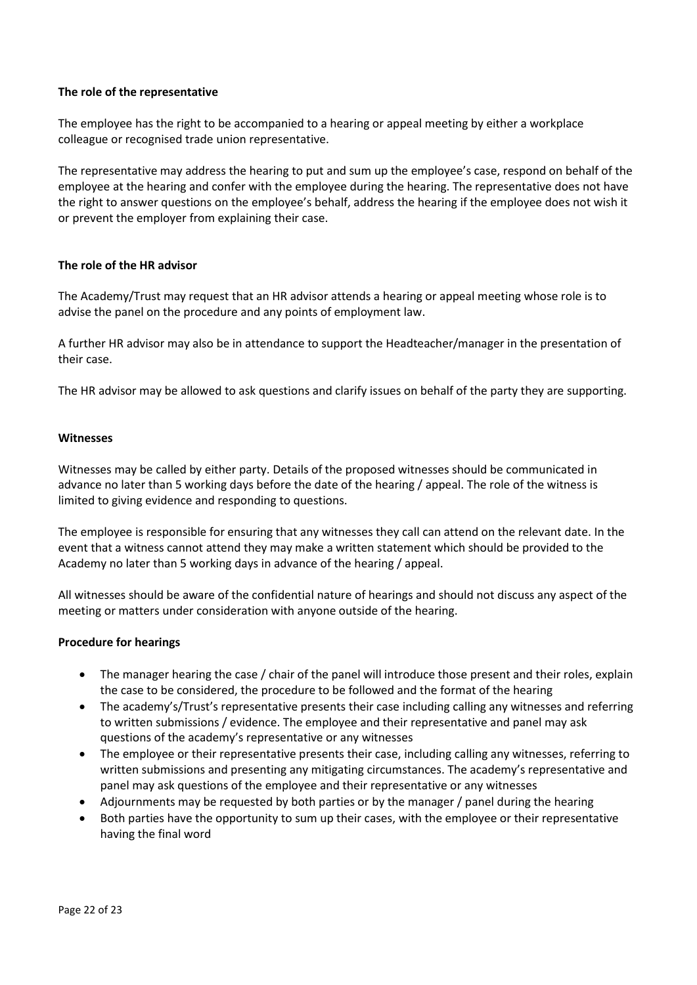#### **The role of the representative**

The employee has the right to be accompanied to a hearing or appeal meeting by either a workplace colleague or recognised trade union representative.

The representative may address the hearing to put and sum up the employee's case, respond on behalf of the employee at the hearing and confer with the employee during the hearing. The representative does not have the right to answer questions on the employee's behalf, address the hearing if the employee does not wish it or prevent the employer from explaining their case.

#### **The role of the HR advisor**

The Academy/Trust may request that an HR advisor attends a hearing or appeal meeting whose role is to advise the panel on the procedure and any points of employment law.

A further HR advisor may also be in attendance to support the Headteacher/manager in the presentation of their case.

The HR advisor may be allowed to ask questions and clarify issues on behalf of the party they are supporting.

#### **Witnesses**

Witnesses may be called by either party. Details of the proposed witnesses should be communicated in advance no later than 5 working days before the date of the hearing / appeal. The role of the witness is limited to giving evidence and responding to questions.

The employee is responsible for ensuring that any witnesses they call can attend on the relevant date. In the event that a witness cannot attend they may make a written statement which should be provided to the Academy no later than 5 working days in advance of the hearing / appeal.

All witnesses should be aware of the confidential nature of hearings and should not discuss any aspect of the meeting or matters under consideration with anyone outside of the hearing.

#### **Procedure for hearings**

- The manager hearing the case / chair of the panel will introduce those present and their roles, explain the case to be considered, the procedure to be followed and the format of the hearing
- The academy's/Trust's representative presents their case including calling any witnesses and referring to written submissions / evidence. The employee and their representative and panel may ask questions of the academy's representative or any witnesses
- The employee or their representative presents their case, including calling any witnesses, referring to written submissions and presenting any mitigating circumstances. The academy's representative and panel may ask questions of the employee and their representative or any witnesses
- Adjournments may be requested by both parties or by the manager / panel during the hearing
- Both parties have the opportunity to sum up their cases, with the employee or their representative having the final word